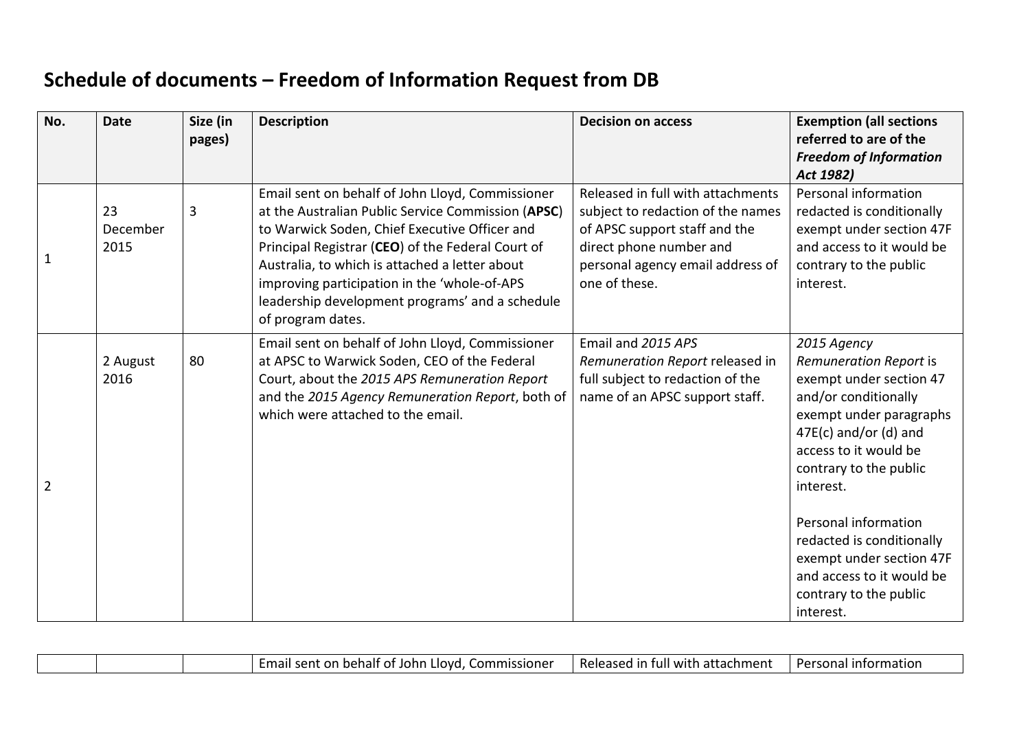## **Schedule of documents – Freedom of Information Request from DB**

| No.            | <b>Date</b>            | Size (in<br>pages) | <b>Description</b>                                                                                                                                                                                                                                                                                                                                                                     | <b>Decision on access</b>                                                                                                                                                               | <b>Exemption (all sections</b><br>referred to are of the<br><b>Freedom of Information</b><br>Act 1982)                                                                                                                                                                                                                       |
|----------------|------------------------|--------------------|----------------------------------------------------------------------------------------------------------------------------------------------------------------------------------------------------------------------------------------------------------------------------------------------------------------------------------------------------------------------------------------|-----------------------------------------------------------------------------------------------------------------------------------------------------------------------------------------|------------------------------------------------------------------------------------------------------------------------------------------------------------------------------------------------------------------------------------------------------------------------------------------------------------------------------|
| 1              | 23<br>December<br>2015 | 3                  | Email sent on behalf of John Lloyd, Commissioner<br>at the Australian Public Service Commission (APSC)<br>to Warwick Soden, Chief Executive Officer and<br>Principal Registrar (CEO) of the Federal Court of<br>Australia, to which is attached a letter about<br>improving participation in the 'whole-of-APS<br>leadership development programs' and a schedule<br>of program dates. | Released in full with attachments<br>subject to redaction of the names<br>of APSC support staff and the<br>direct phone number and<br>personal agency email address of<br>one of these. | Personal information<br>redacted is conditionally<br>exempt under section 47F<br>and access to it would be<br>contrary to the public<br>interest.                                                                                                                                                                            |
| $\overline{2}$ | 2 August<br>2016       | 80                 | Email sent on behalf of John Lloyd, Commissioner<br>at APSC to Warwick Soden, CEO of the Federal<br>Court, about the 2015 APS Remuneration Report<br>and the 2015 Agency Remuneration Report, both of<br>which were attached to the email.                                                                                                                                             | Email and 2015 APS<br>Remuneration Report released in<br>full subject to redaction of the<br>name of an APSC support staff.                                                             | 2015 Agency<br>Remuneration Report is<br>exempt under section 47<br>and/or conditionally<br>exempt under paragraphs<br>$47E(c)$ and/or (d) and<br>access to it would be<br>contrary to the public<br>interest.<br>Personal information<br>redacted is conditionally<br>exempt under section 47F<br>and access to it would be |

| шаши |  | . Commissioner<br>Llovd.<br>t on behalf of John.<br>-mail<br>i sent- | Released<br>n attachment i<br>a with.<br>in ful | Persona<br>Lintormatior |
|------|--|----------------------------------------------------------------------|-------------------------------------------------|-------------------------|
|------|--|----------------------------------------------------------------------|-------------------------------------------------|-------------------------|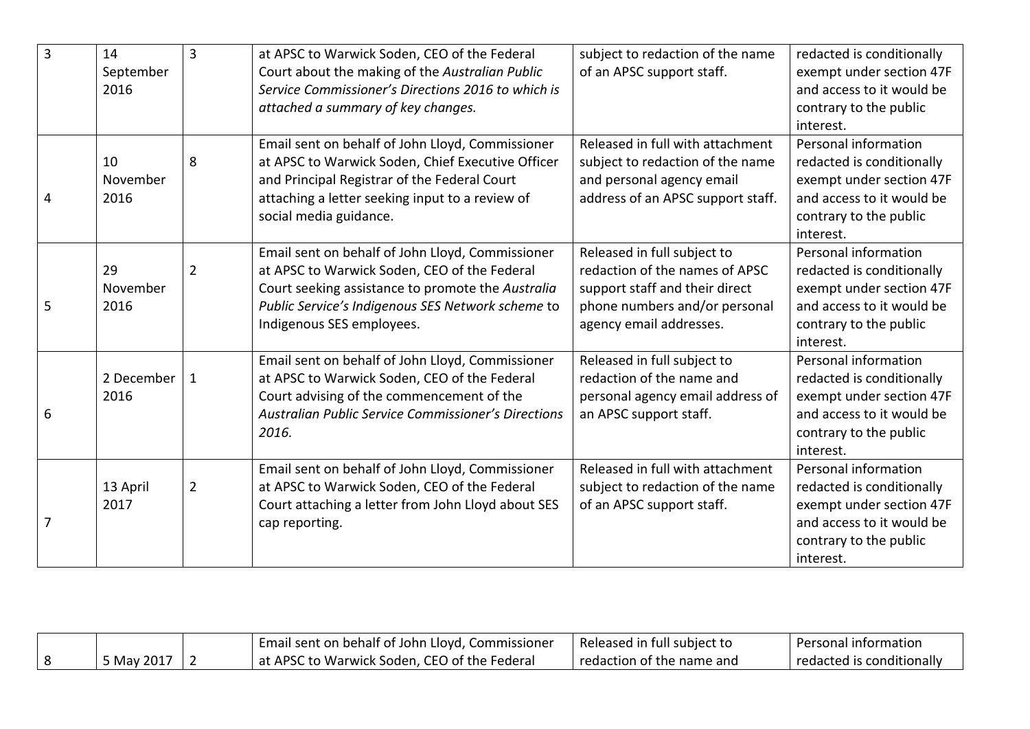| 3 | 14         | $\overline{3}$ | at APSC to Warwick Soden, CEO of the Federal               | subject to redaction of the name  | redacted is conditionally |
|---|------------|----------------|------------------------------------------------------------|-----------------------------------|---------------------------|
|   | September  |                | Court about the making of the Australian Public            | of an APSC support staff.         | exempt under section 47F  |
|   | 2016       |                | Service Commissioner's Directions 2016 to which is         |                                   | and access to it would be |
|   |            |                | attached a summary of key changes.                         |                                   | contrary to the public    |
|   |            |                |                                                            |                                   | interest.                 |
|   |            |                | Email sent on behalf of John Lloyd, Commissioner           | Released in full with attachment  | Personal information      |
|   | 10         | 8              | at APSC to Warwick Soden, Chief Executive Officer          | subject to redaction of the name  | redacted is conditionally |
|   | November   |                | and Principal Registrar of the Federal Court               | and personal agency email         | exempt under section 47F  |
| 4 | 2016       |                | attaching a letter seeking input to a review of            | address of an APSC support staff. | and access to it would be |
|   |            |                | social media guidance.                                     |                                   | contrary to the public    |
|   |            |                |                                                            |                                   | interest.                 |
|   |            |                | Email sent on behalf of John Lloyd, Commissioner           | Released in full subject to       | Personal information      |
|   | 29         | $\overline{2}$ | at APSC to Warwick Soden, CEO of the Federal               | redaction of the names of APSC    | redacted is conditionally |
|   | November   |                | Court seeking assistance to promote the Australia          | support staff and their direct    | exempt under section 47F  |
| 5 | 2016       |                | Public Service's Indigenous SES Network scheme to          | phone numbers and/or personal     | and access to it would be |
|   |            |                | Indigenous SES employees.                                  | agency email addresses.           | contrary to the public    |
|   |            |                |                                                            |                                   | interest.                 |
|   |            |                | Email sent on behalf of John Lloyd, Commissioner           | Released in full subject to       | Personal information      |
|   | 2 December | -1             | at APSC to Warwick Soden, CEO of the Federal               | redaction of the name and         | redacted is conditionally |
|   | 2016       |                | Court advising of the commencement of the                  | personal agency email address of  | exempt under section 47F  |
| 6 |            |                | <b>Australian Public Service Commissioner's Directions</b> | an APSC support staff.            | and access to it would be |
|   |            |                | 2016.                                                      |                                   | contrary to the public    |
|   |            |                |                                                            |                                   | interest.                 |
|   |            |                | Email sent on behalf of John Lloyd, Commissioner           | Released in full with attachment  | Personal information      |
|   | 13 April   | $\overline{2}$ | at APSC to Warwick Soden, CEO of the Federal               | subject to redaction of the name  | redacted is conditionally |
|   | 2017       |                | Court attaching a letter from John Lloyd about SES         | of an APSC support staff.         | exempt under section 47F  |
|   |            |                | cap reporting.                                             |                                   | and access to it would be |
|   |            |                |                                                            |                                   | contrary to the public    |
|   |            |                |                                                            |                                   | interest.                 |

|            | Email sent on behalf of John Lloyd, Commissioner | Released in full subject to | Personal information      |
|------------|--------------------------------------------------|-----------------------------|---------------------------|
| 5 May 2017 | at APSC to Warwick Soden, CEO of the Federal     | redaction of the name and   | redacted is conditionally |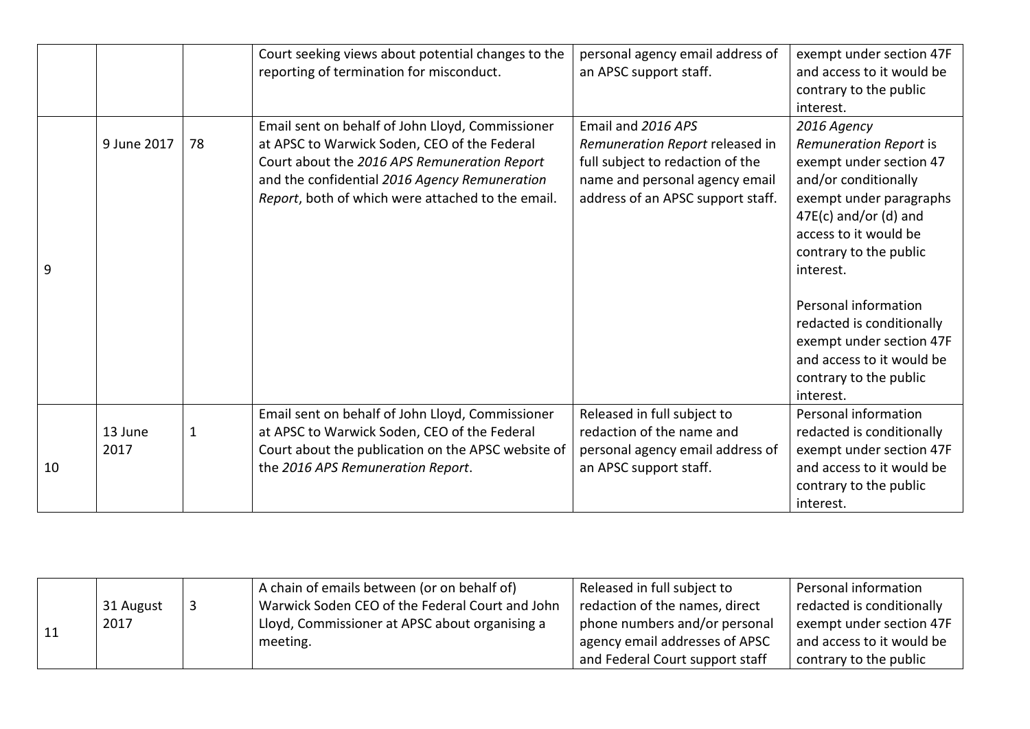|    |                 |              | Court seeking views about potential changes to the<br>reporting of termination for misconduct.                                                                                                                                                         | personal agency email address of<br>an APSC support staff.                                                                                                       | exempt under section 47F<br>and access to it would be<br>contrary to the public<br>interest.                                                                                                                   |
|----|-----------------|--------------|--------------------------------------------------------------------------------------------------------------------------------------------------------------------------------------------------------------------------------------------------------|------------------------------------------------------------------------------------------------------------------------------------------------------------------|----------------------------------------------------------------------------------------------------------------------------------------------------------------------------------------------------------------|
| 9  | 9 June 2017     | 78           | Email sent on behalf of John Lloyd, Commissioner<br>at APSC to Warwick Soden, CEO of the Federal<br>Court about the 2016 APS Remuneration Report<br>and the confidential 2016 Agency Remuneration<br>Report, both of which were attached to the email. | Email and 2016 APS<br>Remuneration Report released in<br>full subject to redaction of the<br>name and personal agency email<br>address of an APSC support staff. | 2016 Agency<br>Remuneration Report is<br>exempt under section 47<br>and/or conditionally<br>exempt under paragraphs<br>$47E(c)$ and/or (d) and<br>access to it would be<br>contrary to the public<br>interest. |
|    |                 |              |                                                                                                                                                                                                                                                        |                                                                                                                                                                  | Personal information<br>redacted is conditionally<br>exempt under section 47F<br>and access to it would be<br>contrary to the public<br>interest.                                                              |
| 10 | 13 June<br>2017 | $\mathbf{1}$ | Email sent on behalf of John Lloyd, Commissioner<br>at APSC to Warwick Soden, CEO of the Federal<br>Court about the publication on the APSC website of<br>the 2016 APS Remuneration Report.                                                            | Released in full subject to<br>redaction of the name and<br>personal agency email address of<br>an APSC support staff.                                           | Personal information<br>redacted is conditionally<br>exempt under section 47F<br>and access to it would be<br>contrary to the public<br>interest.                                                              |

|  |           | A chain of emails between (or on behalf of)     | Released in full subject to     | Personal information      |
|--|-----------|-------------------------------------------------|---------------------------------|---------------------------|
|  | 31 August | Warwick Soden CEO of the Federal Court and John | redaction of the names, direct  | redacted is conditionally |
|  | 2017      | Lloyd, Commissioner at APSC about organising a  | phone numbers and/or personal   | exempt under section 47F  |
|  |           | meeting.                                        | agency email addresses of APSC  | and access to it would be |
|  |           |                                                 | and Federal Court support staff | contrary to the public    |